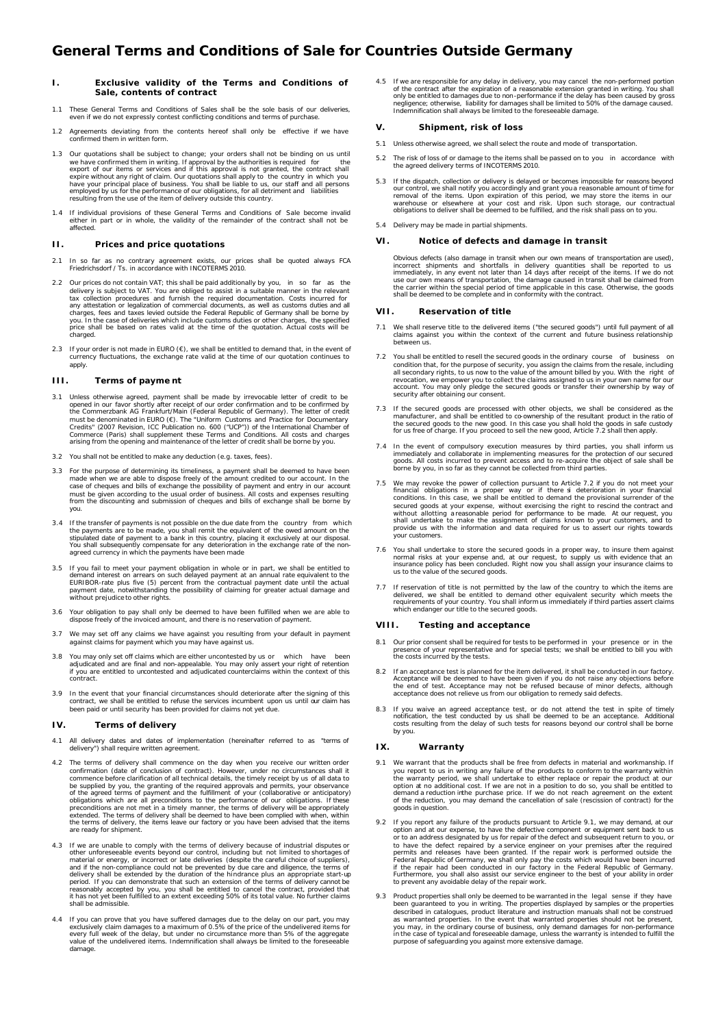# **I. Exclusive validity of the Terms and Conditions of Sale, contents of contract**

- 1.1 These General Terms and Conditions of Sales shall be the sole basis of our deliveries, even if we do not expressly contest conflicting conditions and terms of purchase
- 1.2 Agreements deviating from the contents hereof shall only be effective if we have confirmed them in written form.
- Our quotations shall be subject to change; your orders shall not be binding on us until we have confirmed them in writing. If approval by the authorities is required for the export of our items or services and if this approval is not granted, the contract shall expire without any right of claim. Our quotation
- 1.4 If individual provisions of these General Terms and Conditions of Sale become invalid either in part or in whole, the validity of the remainder of the contract shall not be affected.

## **II. Prices and price quotations**

- 2.1 In so far as no contrary agreement exists, our prices shall be quoted always FCA Friedrichsdorf / Ts. in accordance with INCOTERMS 2010.
- 2.2 Our prices do not contain VAT; this shall be paid additionally by you, in so far as the delivery is subject to VAT. You are obliged to assist in a suitable manner in the relevant<br>tax collection procedures and furnish the required documentation. Costs incurred for<br>any attestation or legalization of commercial charges, fees and taxes levied outside the Federal Republic of Germany shall be borne by<br>you. In the case of deliveries which include customs duties or other charges, the specified<br>price shall be based on rates valid at th .<br>charged
- 2.3 If your order is not made in EURO  $(\epsilon)$ , we shall be entitled to demand that, in the event of currency fluctuations, the exchange rate valid at the time of our quotation continues to apply.

## **III. Terms of payme nt**

- 3.1 Unless otherwise agreed, payment shall be made by irrevocable letter of credit to be opened in our favor shortly after receipt of our order confirmation and to be confirmed by the Commerzbank AG Frankfurt/Main (Federal must be denominated in EURO (€). The "Uniform Customs and Practice for Documentary<br>Credits" (2007 Revision, ICC Publication no. 600 ("UCP")) of the International Chamber of<br>Commerce (Paris) shall supplement these Terms and
- 3.2 You shall not be entitled to make any deduction (e.g. taxes, fees).
- 3.3 For the purpose of determining its timeliness, a payment shall be deemed to have been<br>made when we are able to dispose freely of the amount credited to our account. In the<br>case of cheques and bills of exchange the poss must be given according to the usual order of business. All costs and expenses resulting from the discounting and submission of cheques and bills of exchange shall be borne by you.
- 3.4 If the transfer of payments is not possible on the due date from the country from which<br>the payments are to be made, you shall remit the equivalent of the owed amount on the<br>stipulated date of payment to a bank in this agreed currency in which the payments have been made
- If you fail to meet your payment obligation in whole or in part, we shall be entitled to demand interest on arrears on such delayed payment at an annual rate equivalent to the EURIBOR-rate plus five (5) percent from the contractual payment date until the actual payment date, notwithstanding the possibility of claiming for greater actual damage and without prejudiceto other rights.
- 3.6 Your obligation to pay shall only be deemed to have been fulfilled when we are able to dispose freely of the invoiced amount, and there is no reservation of payment.
- 3.7 We may set off any claims we have against you resulting from your default in payment against claims for payment which you may have against us.
- 3.8 You may only set off claims which are either uncontested by us or which have been<br>adjudicated and are final and non-appealable. You may only assert your right of retention<br>if you are entitled to uncontested and adjudic contract.
- 3.9 In the event that your financial circumstances should deteriorate after the signing of this<br>contract, we shall be entitled to refuse the services incumbent upon us until our claim has<br>been paid or until security has be

#### **IV. Terms of delivery**

- 4.1 All delivery dates and dates of implementation (hereinafter referred to as "terms of delivery") shall require written agreement.
- The terms of delivery shall commence on the day when you receive our written order confirmation (date of conclusion of contract). However, under no circumstances shall it<br>commence before clarification of all technical details, the timely receipt by us of all data to<br>be supplied by you, the granting of th are ready for shipment.
- 4.3 If we are unable to comply with the terms of delivery because of industrial disputes or other unforeseeable events beyond our control, including but not limited to shortages of material or energy, or incorrect or late and if the non-compliance could not be prevented by due care and diligence, the terms of delivery shall be extended by the duration of the hindrance plus an appropriate start-up<br>period. If you can demonstrate that such an
- 4.4 If you can prove that you have suffered damages due to the delay on our part, you may exclusively claim damages to a maximum of 0.5% of the price of the undelivered tiems for every full week of the delay, but under no damage.

4.5 If we are responsible for any delay in delivery, you may cancel the non-performed portion<br>of the contract after the expiration of a reasonable extension granted in writing. You shall<br>only be entitled to damages due to Indemnification shall always be limited to the foreseeable damage.

## **V. Shipment, risk of loss**

- 5.1 Unless otherwise agreed, we shall select the route and mode of transportation.
- 5.2 The risk of loss of or damage to the items shall be passed on to you in accordance with the agreed delivery terms of INCOTERMS 2010.
- 5.3 If the dispatch, collection or delivery is delayed or becomes impossible for reasons beyond our control, we shall notify you accordingly and grant you a reasonable amount of time for<br>removal of the items. Upon expirati warehouse or elsewhere at your cost and risk. Upon such storage, our contractual obligations to deliver shall be deemed to be fulfilled, and the risk shall pass on to you.
- 5.4 Delivery may be made in partial shipments.

#### **VI. Notice of defects and damage in transit**

Obvious defects (also damage in transit when our own means of transportation are used), incorrect shipments and shortfalls in delivery quantities shall be reported to us immediately, in any event not later than 14 days aft

# **VII. Reservation of title**

- 7.1 We shall reserve title to the delivered items ("the secured goods") until full payment of all claims against you within the context of the current and future business relationship between us.
- 7.2 You shall be entitled to resell the secured goods in the ordinary course of business on condition that, for the purpose of security, you assign the claims from the resale, including all secondary rights, to us now to the value of the amount billed by you. With the right of revocation, we empower you to collec
- 7.3 If the secured goods are processed with other objects, we shall be considered as the manufacturer, and shall be entitled to co-ownership of the resultant product in the ratio of the secured goods to the new good. In th
- 7.4 In the event of compulsory execution measures by third parties, you shall inform us immediately and collaborate in implementing measures for the protection of our secured goods. All costs incurred to prevent access and
- 7.5 We may revoke the power of collection pursuant to Article 7.2 if you do not meet your financial obligations in a proper way or if there si deterioration in your financial conditions. In this case, we shall be entitled your customers.
- 7.6 You shall undertake to store the secured goods in a proper way, to insure them against normal risks at your expense and, at our request, to supply us with evidence that an insurance policy has been concluded. Right now
- 7.7 If reservation of title is not permitted by the law of the country to which the items are delivered, we shall be entitled to demand other equivalent security which meets the requirements of your country. You shall info

# **VIII. Testing and acceptance**

- 8.1 Our prior consent shall be required for tests to be performed in your presence or in the presence of your representative and for special tests; we shall be entitled to bill you with the costs incurred by the tests.
- 8.2 If an acceptance test is planned for the item delivered, it shall be conducted in our factory Acceptance will be deemed to have been given if you do not raise any objections before<br>the end of test. Acceptance may not be refused because of minor defects, although<br>acceptance does not relieve us from our obligation to
- 8.3 If you waive an agreed acceptance test, or do not attend the test in spite of timely<br>notification, the test conducted by us shall be deemed to be an acceptance. Additional<br>costs resulting from the delay of such tests f by you.

#### **IX. Warranty**

- 9.1 We warrant that the products shall be free from defects in material and workmanship. If you report to us in writing any failure of the products to conform to the warranty within the warranty period, we shall undertake to either replace or repair the product at our option at no additional cost. If we are not i
- 9.2 If you report any failure of the products pursuant to Article 9.1, we may demand, at our option and at our expense, to have the defective component or equipment sent back to us<br>or to an address designated by us for repair of the defect and subsequent return to you, or<br>to have the defect repaired by a service e to prevent any avoidable delay of the repair work.
- 9.3 Product properties shall only be deemed to be warranted in the legal sense if they have been guaranteed to you in writing. The properties displayed by samples or the properties described in catalogues, product literature and instruction manuals shall not be construed<br>as warranted properties. In the event that warranted properties should not be present,<br>you may, in the ordinary course of business,